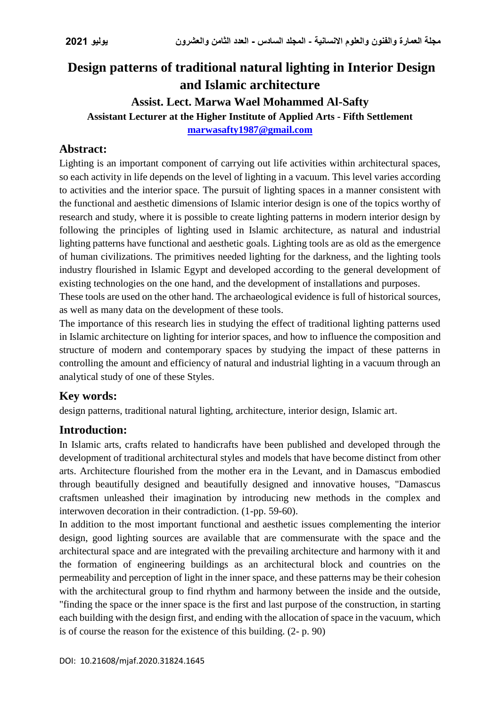# **Design patterns of traditional natural lighting in Interior Design and Islamic architecture**

#### **Assist. Lect. Marwa Wael Mohammed Al-Safty Assistant Lecturer at the Higher Institute of Applied Arts - Fifth Settlement [marwasafty1987@gmail.com](mailto:marwasafty1987@gmail.com)**

#### **Abstract:**

Lighting is an important component of carrying out life activities within architectural spaces, so each activity in life depends on the level of lighting in a vacuum. This level varies according to activities and the interior space. The pursuit of lighting spaces in a manner consistent with the functional and aesthetic dimensions of Islamic interior design is one of the topics worthy of research and study, where it is possible to create lighting patterns in modern interior design by following the principles of lighting used in Islamic architecture, as natural and industrial lighting patterns have functional and aesthetic goals. Lighting tools are as old as the emergence of human civilizations. The primitives needed lighting for the darkness, and the lighting tools industry flourished in Islamic Egypt and developed according to the general development of existing technologies on the one hand, and the development of installations and purposes.

These tools are used on the other hand. The archaeological evidence is full of historical sources, as well as many data on the development of these tools.

The importance of this research lies in studying the effect of traditional lighting patterns used in Islamic architecture on lighting for interior spaces, and how to influence the composition and structure of modern and contemporary spaces by studying the impact of these patterns in controlling the amount and efficiency of natural and industrial lighting in a vacuum through an analytical study of one of these Styles.

#### **Key words:**

design patterns, traditional natural lighting, architecture, interior design, Islamic art.

#### **Introduction:**

In Islamic arts, crafts related to handicrafts have been published and developed through the development of traditional architectural styles and models that have become distinct from other arts. Architecture flourished from the mother era in the Levant, and in Damascus embodied through beautifully designed and beautifully designed and innovative houses, "Damascus craftsmen unleashed their imagination by introducing new methods in the complex and interwoven decoration in their contradiction. (1-pp. 59-60).

In addition to the most important functional and aesthetic issues complementing the interior design, good lighting sources are available that are commensurate with the space and the architectural space and are integrated with the prevailing architecture and harmony with it and the formation of engineering buildings as an architectural block and countries on the permeability and perception of light in the inner space, and these patterns may be their cohesion with the architectural group to find rhythm and harmony between the inside and the outside, "finding the space or the inner space is the first and last purpose of the construction, in starting each building with the design first, and ending with the allocation of space in the vacuum, which is of course the reason for the existence of this building. (2- p. 90)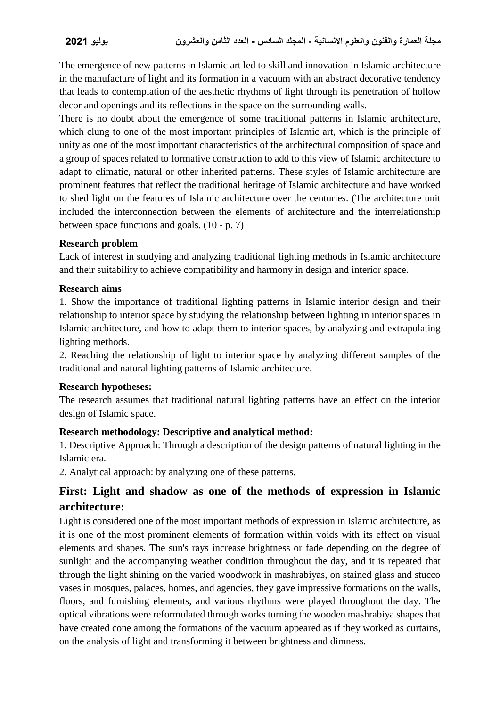The emergence of new patterns in Islamic art led to skill and innovation in Islamic architecture in the manufacture of light and its formation in a vacuum with an abstract decorative tendency that leads to contemplation of the aesthetic rhythms of light through its penetration of hollow decor and openings and its reflections in the space on the surrounding walls.

There is no doubt about the emergence of some traditional patterns in Islamic architecture, which clung to one of the most important principles of Islamic art, which is the principle of unity as one of the most important characteristics of the architectural composition of space and a group of spaces related to formative construction to add to this view of Islamic architecture to adapt to climatic, natural or other inherited patterns. These styles of Islamic architecture are prominent features that reflect the traditional heritage of Islamic architecture and have worked to shed light on the features of Islamic architecture over the centuries. (The architecture unit included the interconnection between the elements of architecture and the interrelationship between space functions and goals. (10 - p. 7)

#### **Research problem**

Lack of interest in studying and analyzing traditional lighting methods in Islamic architecture and their suitability to achieve compatibility and harmony in design and interior space.

#### **Research aims**

1. Show the importance of traditional lighting patterns in Islamic interior design and their relationship to interior space by studying the relationship between lighting in interior spaces in Islamic architecture, and how to adapt them to interior spaces, by analyzing and extrapolating lighting methods.

2. Reaching the relationship of light to interior space by analyzing different samples of the traditional and natural lighting patterns of Islamic architecture.

#### **Research hypotheses:**

The research assumes that traditional natural lighting patterns have an effect on the interior design of Islamic space.

#### **Research methodology: Descriptive and analytical method:**

1. Descriptive Approach: Through a description of the design patterns of natural lighting in the Islamic era.

2. Analytical approach: by analyzing one of these patterns.

## **First: Light and shadow as one of the methods of expression in Islamic architecture:**

Light is considered one of the most important methods of expression in Islamic architecture, as it is one of the most prominent elements of formation within voids with its effect on visual elements and shapes. The sun's rays increase brightness or fade depending on the degree of sunlight and the accompanying weather condition throughout the day, and it is repeated that through the light shining on the varied woodwork in mashrabiyas, on stained glass and stucco vases in mosques, palaces, homes, and agencies, they gave impressive formations on the walls, floors, and furnishing elements, and various rhythms were played throughout the day. The optical vibrations were reformulated through works turning the wooden mashrabiya shapes that have created cone among the formations of the vacuum appeared as if they worked as curtains, on the analysis of light and transforming it between brightness and dimness.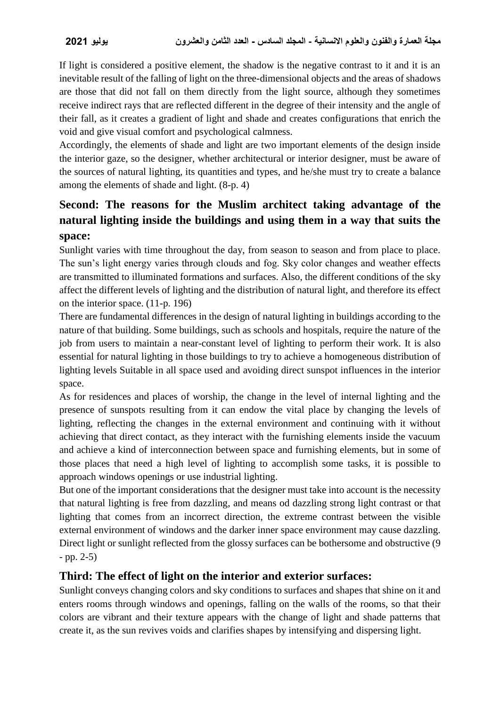If light is considered a positive element, the shadow is the negative contrast to it and it is an inevitable result of the falling of light on the three-dimensional objects and the areas of shadows are those that did not fall on them directly from the light source, although they sometimes receive indirect rays that are reflected different in the degree of their intensity and the angle of their fall, as it creates a gradient of light and shade and creates configurations that enrich the void and give visual comfort and psychological calmness.

Accordingly, the elements of shade and light are two important elements of the design inside the interior gaze, so the designer, whether architectural or interior designer, must be aware of the sources of natural lighting, its quantities and types, and he/she must try to create a balance among the elements of shade and light. (8-p. 4)

## **Second: The reasons for the Muslim architect taking advantage of the natural lighting inside the buildings and using them in a way that suits the space:**

Sunlight varies with time throughout the day, from season to season and from place to place. The sun's light energy varies through clouds and fog. Sky color changes and weather effects are transmitted to illuminated formations and surfaces. Also, the different conditions of the sky affect the different levels of lighting and the distribution of natural light, and therefore its effect on the interior space. (11-p. 196)

There are fundamental differences in the design of natural lighting in buildings according to the nature of that building. Some buildings, such as schools and hospitals, require the nature of the job from users to maintain a near-constant level of lighting to perform their work. It is also essential for natural lighting in those buildings to try to achieve a homogeneous distribution of lighting levels Suitable in all space used and avoiding direct sunspot influences in the interior space.

As for residences and places of worship, the change in the level of internal lighting and the presence of sunspots resulting from it can endow the vital place by changing the levels of lighting, reflecting the changes in the external environment and continuing with it without achieving that direct contact, as they interact with the furnishing elements inside the vacuum and achieve a kind of interconnection between space and furnishing elements, but in some of those places that need a high level of lighting to accomplish some tasks, it is possible to approach windows openings or use industrial lighting.

But one of the important considerations that the designer must take into account is the necessity that natural lighting is free from dazzling, and means od dazzling strong light contrast or that lighting that comes from an incorrect direction, the extreme contrast between the visible external environment of windows and the darker inner space environment may cause dazzling. Direct light or sunlight reflected from the glossy surfaces can be bothersome and obstructive (9 - pp. 2-5)

#### **Third: The effect of light on the interior and exterior surfaces:**

Sunlight conveys changing colors and sky conditions to surfaces and shapes that shine on it and enters rooms through windows and openings, falling on the walls of the rooms, so that their colors are vibrant and their texture appears with the change of light and shade patterns that create it, as the sun revives voids and clarifies shapes by intensifying and dispersing light.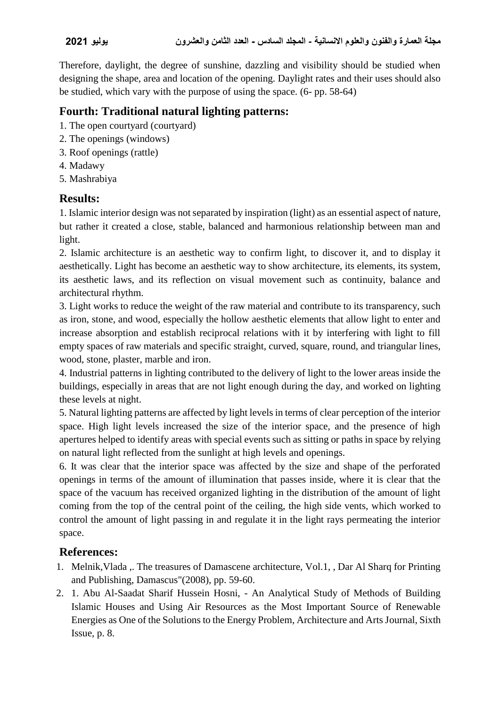Therefore, daylight, the degree of sunshine, dazzling and visibility should be studied when designing the shape, area and location of the opening. Daylight rates and their uses should also be studied, which vary with the purpose of using the space. (6- pp. 58-64)

## **Fourth: Traditional natural lighting patterns:**

- 1. The open courtyard (courtyard)
- 2. The openings (windows)
- 3. Roof openings (rattle)
- 4. Madawy
- 5. Mashrabiya

### **Results:**

1. Islamic interior design was not separated by inspiration (light) as an essential aspect of nature, but rather it created a close, stable, balanced and harmonious relationship between man and light.

2. Islamic architecture is an aesthetic way to confirm light, to discover it, and to display it aesthetically. Light has become an aesthetic way to show architecture, its elements, its system, its aesthetic laws, and its reflection on visual movement such as continuity, balance and architectural rhythm.

3. Light works to reduce the weight of the raw material and contribute to its transparency, such as iron, stone, and wood, especially the hollow aesthetic elements that allow light to enter and increase absorption and establish reciprocal relations with it by interfering with light to fill empty spaces of raw materials and specific straight, curved, square, round, and triangular lines, wood, stone, plaster, marble and iron.

4. Industrial patterns in lighting contributed to the delivery of light to the lower areas inside the buildings, especially in areas that are not light enough during the day, and worked on lighting these levels at night.

5. Natural lighting patterns are affected by light levels in terms of clear perception of the interior space. High light levels increased the size of the interior space, and the presence of high apertures helped to identify areas with special events such as sitting or paths in space by relying on natural light reflected from the sunlight at high levels and openings.

6. It was clear that the interior space was affected by the size and shape of the perforated openings in terms of the amount of illumination that passes inside, where it is clear that the space of the vacuum has received organized lighting in the distribution of the amount of light coming from the top of the central point of the ceiling, the high side vents, which worked to control the amount of light passing in and regulate it in the light rays permeating the interior space.

## **References:**

- 1. Melnik,Vlada ,. The treasures of Damascene architecture, Vol.1, , Dar Al Sharq for Printing and Publishing, Damascus"(2008), pp. 59-60.
- 2. 1. Abu Al-Saadat Sharif Hussein Hosni, An Analytical Study of Methods of Building Islamic Houses and Using Air Resources as the Most Important Source of Renewable Energies as One of the Solutions to the Energy Problem, Architecture and Arts Journal, Sixth Issue, p. 8.